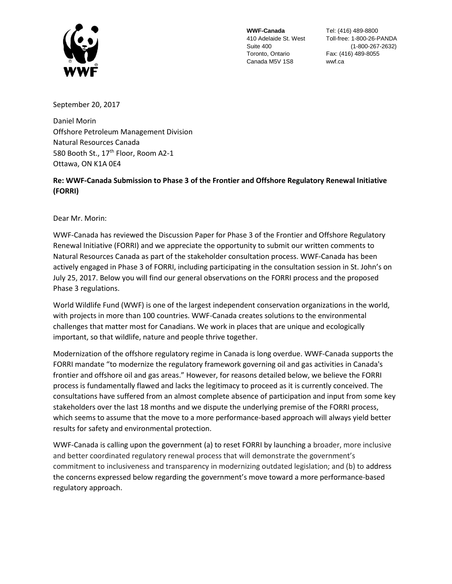

**WWF-Canada** Suite 400 Toronto, Ontario Canada M5V 1S8

410 Adelaide St. West Toll-free: 1-800-26-PANDA Tel: (416) 489-8800 (1-800-267-2632) Fax: (416) 489-8055 wwf.ca

September 20, 2017

Daniel Morin Offshore Petroleum Management Division Natural Resources Canada 580 Booth St., 17<sup>th</sup> Floor, Room A2-1 Ottawa, ON K1A 0E4

**Re: WWF-Canada Submission to Phase 3 of the Frontier and Offshore Regulatory Renewal Initiative (FORRI)**

Dear Mr. Morin:

WWF-Canada has reviewed the Discussion Paper for Phase 3 of the Frontier and Offshore Regulatory Renewal Initiative (FORRI) and we appreciate the opportunity to submit our written comments to Natural Resources Canada as part of the stakeholder consultation process. WWF-Canada has been actively engaged in Phase 3 of FORRI, including participating in the consultation session in St. John's on July 25, 2017. Below you will find our general observations on the FORRI process and the proposed Phase 3 regulations.

World Wildlife Fund (WWF) is one of the largest independent conservation organizations in the world, with projects in more than 100 countries. WWF-Canada creates solutions to the environmental challenges that matter most for Canadians. We work in places that are unique and ecologically important, so that wildlife, nature and people thrive together.

Modernization of the offshore regulatory regime in Canada is long overdue. WWF-Canada supports the FORRI mandate "to modernize the regulatory framework governing oil and gas activities in Canada's frontier and offshore oil and gas areas." However, for reasons detailed below, we believe the FORRI process is fundamentally flawed and lacks the legitimacy to proceed as it is currently conceived. The consultations have suffered from an almost complete absence of participation and input from some key stakeholders over the last 18 months and we dispute the underlying premise of the FORRI process, which seems to assume that the move to a more performance-based approach will always yield better results for safety and environmental protection.

WWF-Canada is calling upon the government (a) to reset FORRI by launching a broader, more inclusive and better coordinated regulatory renewal process that will demonstrate the government's commitment to inclusiveness and transparency in modernizing outdated legislation; and (b) to address the concerns expressed below regarding the government's move toward a more performance-based regulatory approach.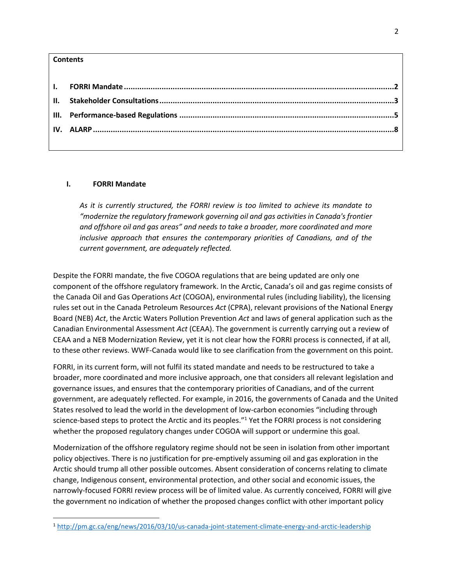## **Contents**

 $\overline{\phantom{a}}$ 

### <span id="page-1-0"></span>**I. FORRI Mandate**

*As it is currently structured, the FORRI review is too limited to achieve its mandate to "modernize the regulatory framework governing oil and gas activities in Canada's frontier and offshore oil and gas areas" and needs to take a broader, more coordinated and more inclusive approach that ensures the contemporary priorities of Canadians, and of the current government, are adequately reflected.*

Despite the FORRI mandate, the five COGOA regulations that are being updated are only one component of the offshore regulatory framework. In the Arctic, Canada's oil and gas regime consists of the Canada Oil and Gas Operations *Act* (COGOA), environmental rules (including liability), the licensing rules set out in the Canada Petroleum Resources *Act* (CPRA), relevant provisions of the National Energy Board (NEB) *Act*, the Arctic Waters Pollution Prevention *Act* and laws of general application such as the Canadian Environmental Assessment *Act* (CEAA). The government is currently carrying out a review of CEAA and a NEB Modernization Review, yet it is not clear how the FORRI process is connected, if at all, to these other reviews. WWF-Canada would like to see clarification from the government on this point.

FORRI, in its current form, will not fulfil its stated mandate and needs to be restructured to take a broader, more coordinated and more inclusive approach, one that considers all relevant legislation and governance issues, and ensures that the contemporary priorities of Canadians, and of the current government, are adequately reflected. For example, in 2016, the governments of Canada and the United States resolved to lead the world in the development of low-carbon economies "including through science-based steps to protect the Arctic and its peoples."<sup>1</sup> Yet the FORRI process is not considering whether the proposed regulatory changes under COGOA will support or undermine this goal.

Modernization of the offshore regulatory regime should not be seen in isolation from other important policy objectives. There is no justification for pre-emptively assuming oil and gas exploration in the Arctic should trump all other possible outcomes. Absent consideration of concerns relating to climate change, Indigenous consent, environmental protection, and other social and economic issues, the narrowly-focused FORRI review process will be of limited value. As currently conceived, FORRI will give the government no indication of whether the proposed changes conflict with other important policy

<sup>1</sup> <http://pm.gc.ca/eng/news/2016/03/10/us-canada-joint-statement-climate-energy-and-arctic-leadership>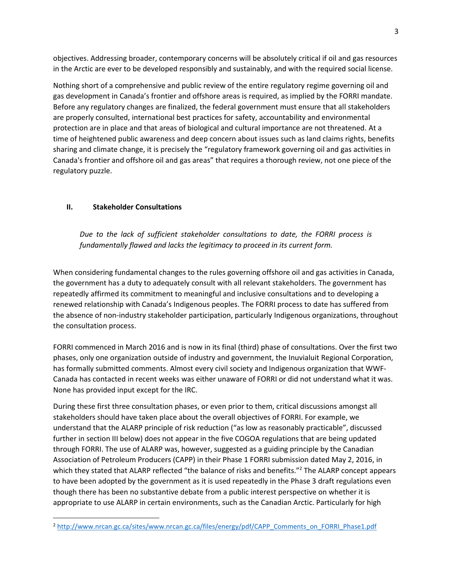objectives. Addressing broader, contemporary concerns will be absolutely critical if oil and gas resources in the Arctic are ever to be developed responsibly and sustainably, and with the required social license.

Nothing short of a comprehensive and public review of the entire regulatory regime governing oil and gas development in Canada's frontier and offshore areas is required, as implied by the FORRI mandate. Before any regulatory changes are finalized, the federal government must ensure that all stakeholders are properly consulted, international best practices for safety, accountability and environmental protection are in place and that areas of biological and cultural importance are not threatened. At a time of heightened public awareness and deep concern about issues such as land claims rights, benefits sharing and climate change, it is precisely the "regulatory framework governing oil and gas activities in Canada's frontier and offshore oil and gas areas" that requires a thorough review, not one piece of the regulatory puzzle.

## <span id="page-2-0"></span>**II. Stakeholder Consultations**

 $\overline{\phantom{a}}$ 

*Due to the lack of sufficient stakeholder consultations to date, the FORRI process is fundamentally flawed and lacks the legitimacy to proceed in its current form.* 

When considering fundamental changes to the rules governing offshore oil and gas activities in Canada, the government has a duty to adequately consult with all relevant stakeholders. The government has repeatedly affirmed its commitment to meaningful and inclusive consultations and to developing a renewed relationship with Canada's Indigenous peoples. The FORRI process to date has suffered from the absence of non-industry stakeholder participation, particularly Indigenous organizations, throughout the consultation process.

FORRI commenced in March 2016 and is now in its final (third) phase of consultations. Over the first two phases, only one organization outside of industry and government, the Inuvialuit Regional Corporation, has formally submitted comments. Almost every civil society and Indigenous organization that WWF-Canada has contacted in recent weeks was either unaware of FORRI or did not understand what it was. None has provided input except for the IRC.

During these first three consultation phases, or even prior to them, critical discussions amongst all stakeholders should have taken place about the overall objectives of FORRI. For example, we understand that the ALARP principle of risk reduction ("as low as reasonably practicable", discussed further in section III below) does not appear in the five COGOA regulations that are being updated through FORRI. The use of ALARP was, however, suggested as a guiding principle by the Canadian Association of Petroleum Producers (CAPP) in their Phase 1 FORRI submission dated May 2, 2016, in which they stated that ALARP reflected "the balance of risks and benefits."<sup>2</sup> The ALARP concept appears to have been adopted by the government as it is used repeatedly in the Phase 3 draft regulations even though there has been no substantive debate from a public interest perspective on whether it is appropriate to use ALARP in certain environments, such as the Canadian Arctic. Particularly for high

<sup>&</sup>lt;sup>2</sup> [http://www.nrcan.gc.ca/sites/www.nrcan.gc.ca/files/energy/pdf/CAPP\\_Comments\\_on\\_FORRI\\_Phase1.pdf](http://www.nrcan.gc.ca/sites/www.nrcan.gc.ca/files/energy/pdf/CAPP_Comments_on_FORRI_Phase1.pdf)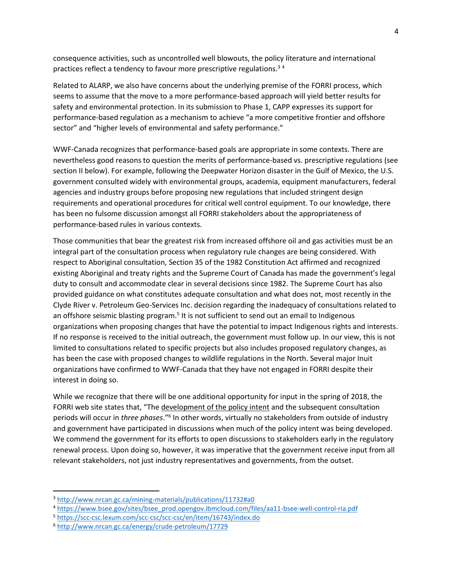consequence activities, such as uncontrolled well blowouts, the policy literature and international practices reflect a tendency to favour more prescriptive regulations.<sup>34</sup>

Related to ALARP, we also have concerns about the underlying premise of the FORRI process, which seems to assume that the move to a more performance-based approach will yield better results for safety and environmental protection. In its submission to Phase 1, CAPP expresses its support for performance-based regulation as a mechanism to achieve "a more competitive frontier and offshore sector" and "higher levels of environmental and safety performance."

WWF-Canada recognizes that performance-based goals are appropriate in some contexts. There are nevertheless good reasons to question the merits of performance-based vs. prescriptive regulations (see section II below). For example, following the Deepwater Horizon disaster in the Gulf of Mexico, the U.S. government consulted widely with environmental groups, academia, equipment manufacturers, federal agencies and industry groups before proposing new regulations that included stringent design requirements and operational procedures for critical well control equipment. To our knowledge, there has been no fulsome discussion amongst all FORRI stakeholders about the appropriateness of performance-based rules in various contexts.

Those communities that bear the greatest risk from increased offshore oil and gas activities must be an integral part of the consultation process when regulatory rule changes are being considered. With respect to Aboriginal consultation, Section 35 of the 1982 Constitution Act affirmed and recognized existing Aboriginal and treaty rights and the Supreme Court of Canada has made the government's legal duty to consult and accommodate clear in several decisions since 1982. The Supreme Court has also provided guidance on what constitutes adequate consultation and what does not, most recently in the Clyde River v. Petroleum Geo-Services Inc. decision regarding the inadequacy of consultations related to an offshore seismic blasting program.<sup>5</sup> It is not sufficient to send out an email to Indigenous organizations when proposing changes that have the potential to impact Indigenous rights and interests. If no response is received to the initial outreach, the government must follow up. In our view, this is not limited to consultations related to specific projects but also includes proposed regulatory changes, as has been the case with proposed changes to wildlife regulations in the North. Several major Inuit organizations have confirmed to WWF-Canada that they have not engaged in FORRI despite their interest in doing so.

While we recognize that there will be one additional opportunity for input in the spring of 2018, the FORRI web site states that, "The development of the policy intent and the subsequent consultation periods will occur in *three phases.*"<sup>6</sup> In other words, virtually no stakeholders from outside of industry and government have participated in discussions when much of the policy intent was being developed. We commend the government for its efforts to open discussions to stakeholders early in the regulatory renewal process. Upon doing so, however, it was imperative that the government receive input from all relevant stakeholders, not just industry representatives and governments, from the outset.

l

<sup>3</sup> <http://www.nrcan.gc.ca/mining-materials/publications/11732#a0>

<sup>4</sup> [https://www.bsee.gov/sites/bsee\\_prod.opengov.ibmcloud.com/files/aa11-bsee-well-control-ria.pdf](https://www.bsee.gov/sites/bsee_prod.opengov.ibmcloud.com/files/aa11-bsee-well-control-ria.pdf)

<sup>5</sup> <https://scc-csc.lexum.com/scc-csc/scc-csc/en/item/16743/index.do>

<sup>6</sup> <http://www.nrcan.gc.ca/energy/crude-petroleum/17729>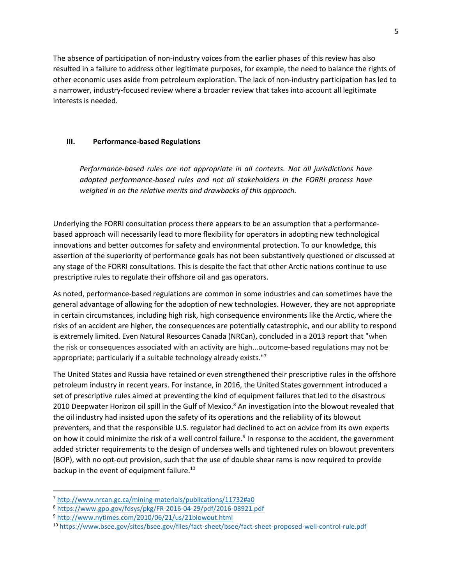The absence of participation of non-industry voices from the earlier phases of this review has also resulted in a failure to address other legitimate purposes, for example, the need to balance the rights of other economic uses aside from petroleum exploration. The lack of non-industry participation has led to a narrower, industry-focused review where a broader review that takes into account all legitimate interests is needed.

# <span id="page-4-0"></span>**III. Performance-based Regulations**

*Performance-based rules are not appropriate in all contexts. Not all jurisdictions have adopted performance-based rules and not all stakeholders in the FORRI process have weighed in on the relative merits and drawbacks of this approach.*

Underlying the FORRI consultation process there appears to be an assumption that a performancebased approach will necessarily lead to more flexibility for operators in adopting new technological innovations and better outcomes for safety and environmental protection. To our knowledge, this assertion of the superiority of performance goals has not been substantively questioned or discussed at any stage of the FORRI consultations. This is despite the fact that other Arctic nations continue to use prescriptive rules to regulate their offshore oil and gas operators.

As noted, performance-based regulations are common in some industries and can sometimes have the general advantage of allowing for the adoption of new technologies. However, they are not appropriate in certain circumstances, including high risk, high consequence environments like the Arctic, where the risks of an accident are higher, the consequences are potentially catastrophic, and our ability to respond is extremely limited. Even Natural Resources Canada (NRCan), concluded in a 2013 report that "when the risk or consequences associated with an activity are high...outcome-based regulations may not be appropriate; particularly if a suitable technology already exists."<sup>7</sup>

The United States and Russia have retained or even strengthened their prescriptive rules in the offshore petroleum industry in recent years. For instance, in 2016, the United States government introduced a set of prescriptive rules aimed at preventing the kind of equipment failures that led to the disastrous 2010 Deepwater Horizon oil spill in the Gulf of Mexico.<sup>8</sup> An investigation into the blowout revealed that the oil industry had insisted upon the safety of its operations and the reliability of its blowout preventers, and that the responsible U.S. regulator had declined to act on advice from its own experts on how it could minimize the risk of a well control failure.<sup>9</sup> In response to the accident, the government added stricter requirements to the design of undersea wells and tightened rules on blowout preventers (BOP), with no opt-out provision, such that the use of double shear rams is now required to provide backup in the event of equipment failure.<sup>10</sup>

l

<sup>7</sup> <http://www.nrcan.gc.ca/mining-materials/publications/11732#a0>

<sup>8</sup> <https://www.gpo.gov/fdsys/pkg/FR-2016-04-29/pdf/2016-08921.pdf>

<sup>9</sup> <http://www.nytimes.com/2010/06/21/us/21blowout.html>

<sup>10</sup> <https://www.bsee.gov/sites/bsee.gov/files/fact-sheet/bsee/fact-sheet-proposed-well-control-rule.pdf>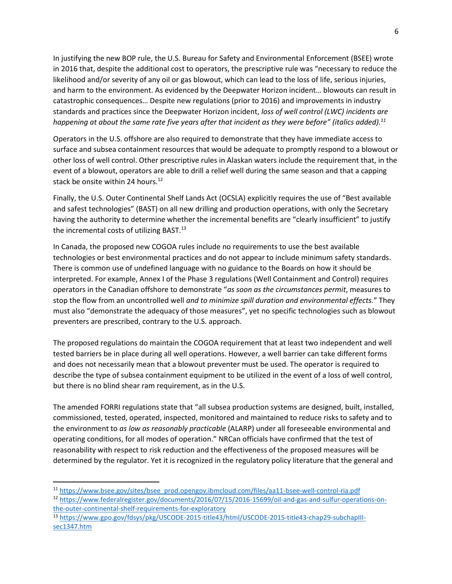In justifying the new BOP rule, the U.S. Bureau for Safety and Environmental Enforcement (BSEE) wrote in 2016 that, despite the additional cost to operators, the prescriptive rule was "necessary to reduce the likelihood and/or severity of any oil or gas blowout, which can lead to the loss of life, serious injuries, and harm to the environment. As evidenced by the Deepwater Horizon incident… blowouts can result in catastrophic consequences… Despite new regulations (prior to 2016) and improvements in industry standards and practices since the Deepwater Horizon incident, *loss of well control (LWC) incidents are happening at about the same rate five years after that incident as they were before" (italics added).<sup>11</sup>*

Operators in the U.S. offshore are also required to demonstrate that they have immediate access to surface and subsea containment resources that would be adequate to promptly respond to a blowout or other loss of well control. Other prescriptive rules in Alaskan waters include the requirement that, in the event of a blowout, operators are able to drill a relief well during the same season and that a capping stack be onsite within 24 hours.<sup>12</sup>

Finally, the U.S. Outer Continental Shelf Lands Act (OCSLA) explicitly requires the use of "Best available and safest technologies" (BAST) on all new drilling and production operations, with only the Secretary having the authority to determine whether the incremental benefits are "clearly insufficient" to justify the incremental costs of utilizing BAST.<sup>13</sup>

In Canada, the proposed new COGOA rules include no requirements to use the best available technologies or best environmental practices and do not appear to include minimum safety standards. There is common use of undefined language with no guidance to the Boards on how it should be interpreted. For example, Annex I of the Phase 3 regulations (Well Containment and Control) requires operators in the Canadian offshore to demonstrate "*as soon as the circumstances permit*, measures to stop the flow from an uncontrolled well *and to minimize spill duration and environmental effects.*" They must also "demonstrate the adequacy of those measures", yet no specific technologies such as blowout preventers are prescribed, contrary to the U.S. approach.

The proposed regulations do maintain the COGOA requirement that at least two independent and well tested barriers be in place during all well operations. However, a well barrier can take different forms and does not necessarily mean that a blowout preventer must be used. The operator is required to describe the type of subsea containment equipment to be utilized in the event of a loss of well control, but there is no blind shear ram requirement, as in the U.S.

The amended FORRI regulations state that "all subsea production systems are designed, built, installed, commissioned, tested, operated, inspected, monitored and maintained to reduce risks to safety and to the environment to *as low as reasonably practicable* (ALARP) under all foreseeable environmental and operating conditions, for all modes of operation." NRCan officials have confirmed that the test of reasonability with respect to risk reduction and the effectiveness of the proposed measures will be determined by the regulator. Yet it is recognized in the regulatory policy literature that the general and

 $\overline{\phantom{a}}$ 

<sup>12</sup> [https://www.federalregister.gov/documents/2016/07/15/2016-15699/oil-and-gas-and-sulfur-operations-on](https://www.federalregister.gov/documents/2016/07/15/2016-15699/oil-and-gas-and-sulfur-operations-on-the-outer-continental-shelf-requirements-for-exploratory)[the-outer-continental-shelf-requirements-for-exploratory](https://www.federalregister.gov/documents/2016/07/15/2016-15699/oil-and-gas-and-sulfur-operations-on-the-outer-continental-shelf-requirements-for-exploratory)

<sup>11</sup> [https://www.bsee.gov/sites/bsee\\_prod.opengov.ibmcloud.com/files/aa11-bsee-well-control-ria.pdf](https://www.bsee.gov/sites/bsee_prod.opengov.ibmcloud.com/files/aa11-bsee-well-control-ria.pdf)

<sup>13</sup> [https://www.gpo.gov/fdsys/pkg/USCODE-2015-title43/html/USCODE-2015-title43-chap29-subchapIII](https://www.gpo.gov/fdsys/pkg/USCODE-2015-title43/html/USCODE-2015-title43-chap29-subchapIII-sec1347.htm)[sec1347.htm](https://www.gpo.gov/fdsys/pkg/USCODE-2015-title43/html/USCODE-2015-title43-chap29-subchapIII-sec1347.htm)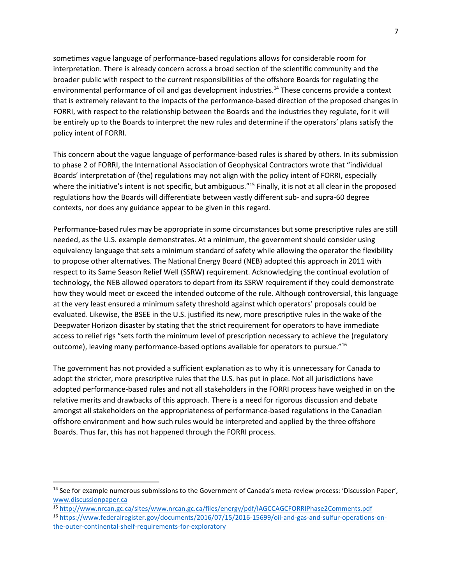sometimes vague language of performance-based regulations allows for considerable room for interpretation. There is already concern across a broad section of the scientific community and the broader public with respect to the current responsibilities of the offshore Boards for regulating the environmental performance of oil and gas development industries.<sup>14</sup> These concerns provide a context that is extremely relevant to the impacts of the performance-based direction of the proposed changes in FORRI, with respect to the relationship between the Boards and the industries they regulate, for it will be entirely up to the Boards to interpret the new rules and determine if the operators' plans satisfy the policy intent of FORRI.

This concern about the vague language of performance-based rules is shared by others. In its submission to phase 2 of FORRI, the International Association of Geophysical Contractors wrote that "individual Boards' interpretation of (the) regulations may not align with the policy intent of FORRI, especially where the initiative's intent is not specific, but ambiguous."<sup>15</sup> Finally, it is not at all clear in the proposed regulations how the Boards will differentiate between vastly different sub- and supra-60 degree contexts, nor does any guidance appear to be given in this regard.

Performance-based rules may be appropriate in some circumstances but some prescriptive rules are still needed, as the U.S. example demonstrates. At a minimum, the government should consider using equivalency language that sets a minimum standard of safety while allowing the operator the flexibility to propose other alternatives. The National Energy Board (NEB) adopted this approach in 2011 with respect to its Same Season Relief Well (SSRW) requirement. Acknowledging the continual evolution of technology, the NEB allowed operators to depart from its SSRW requirement if they could demonstrate how they would meet or exceed the intended outcome of the rule. Although controversial, this language at the very least ensured a minimum safety threshold against which operators' proposals could be evaluated. Likewise, the BSEE in the U.S. justified its new, more prescriptive rules in the wake of the Deepwater Horizon disaster by stating that the strict requirement for operators to have immediate access to relief rigs "sets forth the minimum level of prescription necessary to achieve the (regulatory outcome), leaving many performance-based options available for operators to pursue."<sup>16</sup>

The government has not provided a sufficient explanation as to why it is unnecessary for Canada to adopt the stricter, more prescriptive rules that the U.S. has put in place. Not all jurisdictions have adopted performance-based rules and not all stakeholders in the FORRI process have weighed in on the relative merits and drawbacks of this approach. There is a need for rigorous discussion and debate amongst all stakeholders on the appropriateness of performance-based regulations in the Canadian offshore environment and how such rules would be interpreted and applied by the three offshore Boards. Thus far, this has not happened through the FORRI process.

 $\overline{\phantom{a}}$ 

<sup>&</sup>lt;sup>14</sup> See for example numerous submissions to the Government of Canada's meta-review process: 'Discussion Paper', [www.discussionpaper.ca](http://www.discussionpaper.ca/)

<sup>15</sup> <http://www.nrcan.gc.ca/sites/www.nrcan.gc.ca/files/energy/pdf/IAGCCAGCFORRIPhase2Comments.pdf>

<sup>16</sup> [https://www.federalregister.gov/documents/2016/07/15/2016-15699/oil-and-gas-and-sulfur-operations-on](https://www.federalregister.gov/documents/2016/07/15/2016-15699/oil-and-gas-and-sulfur-operations-on-the-outer-continental-shelf-requirements-for-exploratory)[the-outer-continental-shelf-requirements-for-exploratory](https://www.federalregister.gov/documents/2016/07/15/2016-15699/oil-and-gas-and-sulfur-operations-on-the-outer-continental-shelf-requirements-for-exploratory)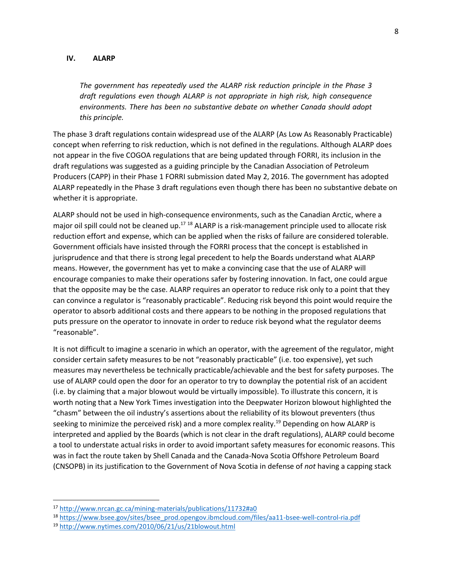#### <span id="page-7-0"></span>**IV. ALARP**

*The government has repeatedly used the ALARP risk reduction principle in the Phase 3 draft regulations even though ALARP is not appropriate in high risk, high consequence environments. There has been no substantive debate on whether Canada should adopt this principle.*

The phase 3 draft regulations contain widespread use of the ALARP (As Low As Reasonably Practicable) concept when referring to risk reduction, which is not defined in the regulations. Although ALARP does not appear in the five COGOA regulations that are being updated through FORRI, its inclusion in the draft regulations was suggested as a guiding principle by the Canadian Association of Petroleum Producers (CAPP) in their Phase 1 FORRI submission dated May 2, 2016. The government has adopted ALARP repeatedly in the Phase 3 draft regulations even though there has been no substantive debate on whether it is appropriate.

ALARP should not be used in high-consequence environments, such as the Canadian Arctic, where a major oil spill could not be cleaned up.<sup>17 18</sup> ALARP is a risk-management principle used to allocate risk reduction effort and expense, which can be applied when the risks of failure are considered tolerable. Government officials have insisted through the FORRI process that the concept is established in jurisprudence and that there is strong legal precedent to help the Boards understand what ALARP means. However, the government has yet to make a convincing case that the use of ALARP will encourage companies to make their operations safer by fostering innovation. In fact, one could argue that the opposite may be the case. ALARP requires an operator to reduce risk only to a point that they can convince a regulator is "reasonably practicable". Reducing risk beyond this point would require the operator to absorb additional costs and there appears to be nothing in the proposed regulations that puts pressure on the operator to innovate in order to reduce risk beyond what the regulator deems "reasonable".

It is not difficult to imagine a scenario in which an operator, with the agreement of the regulator, might consider certain safety measures to be not "reasonably practicable" (i.e. too expensive), yet such measures may nevertheless be technically practicable/achievable and the best for safety purposes. The use of ALARP could open the door for an operator to try to downplay the potential risk of an accident (i.e. by claiming that a major blowout would be virtually impossible). To illustrate this concern, it is worth noting that a New York Times investigation into the Deepwater Horizon blowout highlighted the "chasm" between the oil industry's assertions about the reliability of its blowout preventers (thus seeking to minimize the perceived risk) and a more complex reality.<sup>19</sup> Depending on how ALARP is interpreted and applied by the Boards (which is not clear in the draft regulations), ALARP could become a tool to understate actual risks in order to avoid important safety measures for economic reasons. This was in fact the route taken by Shell Canada and the Canada-Nova Scotia Offshore Petroleum Board (CNSOPB) in its justification to the Government of Nova Scotia in defense of *not* having a capping stack

 $\overline{a}$ 

<sup>17</sup> <http://www.nrcan.gc.ca/mining-materials/publications/11732#a0>

<sup>18</sup> [https://www.bsee.gov/sites/bsee\\_prod.opengov.ibmcloud.com/files/aa11-bsee-well-control-ria.pdf](https://www.bsee.gov/sites/bsee_prod.opengov.ibmcloud.com/files/aa11-bsee-well-control-ria.pdf)

<sup>19</sup> <http://www.nytimes.com/2010/06/21/us/21blowout.html>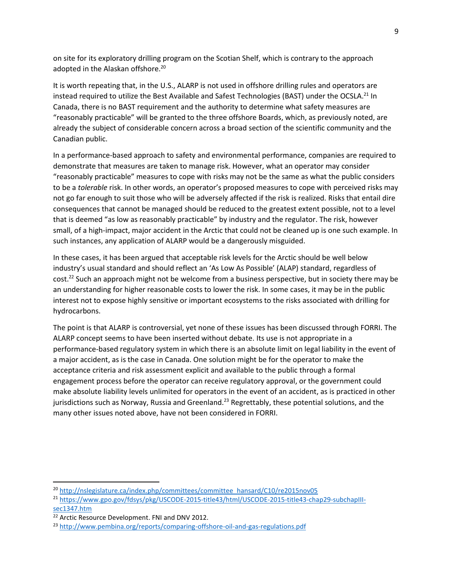on site for its exploratory drilling program on the Scotian Shelf, which is contrary to the approach adopted in the Alaskan offshore.<sup>20</sup>

It is worth repeating that, in the U.S., ALARP is not used in offshore drilling rules and operators are instead required to utilize the Best Available and Safest Technologies (BAST) under the OCSLA.<sup>21</sup> In Canada, there is no BAST requirement and the authority to determine what safety measures are "reasonably practicable" will be granted to the three offshore Boards, which, as previously noted, are already the subject of considerable concern across a broad section of the scientific community and the Canadian public.

In a performance-based approach to safety and environmental performance, companies are required to demonstrate that measures are taken to manage risk. However, what an operator may consider "reasonably practicable" measures to cope with risks may not be the same as what the public considers to be a *tolerable* risk. In other words, an operator's proposed measures to cope with perceived risks may not go far enough to suit those who will be adversely affected if the risk is realized. Risks that entail dire consequences that cannot be managed should be reduced to the greatest extent possible, not to a level that is deemed "as low as reasonably practicable" by industry and the regulator. The risk, however small, of a high-impact, major accident in the Arctic that could not be cleaned up is one such example. In such instances, any application of ALARP would be a dangerously misguided.

In these cases, it has been argued that acceptable risk levels for the Arctic should be well below industry's usual standard and should reflect an 'As Low As Possible' (ALAP) standard, regardless of cost.<sup>22</sup> Such an approach might not be welcome from a business perspective, but in society there may be an understanding for higher reasonable costs to lower the risk. In some cases, it may be in the public interest not to expose highly sensitive or important ecosystems to the risks associated with drilling for hydrocarbons.

The point is that ALARP is controversial, yet none of these issues has been discussed through FORRI. The ALARP concept seems to have been inserted without debate. Its use is not appropriate in a performance-based regulatory system in which there is an absolute limit on legal liability in the event of a major accident, as is the case in Canada. One solution might be for the operator to make the acceptance criteria and risk assessment explicit and available to the public through a formal engagement process before the operator can receive regulatory approval, or the government could make absolute liability levels unlimited for operators in the event of an accident, as is practiced in other jurisdictions such as Norway, Russia and Greenland.<sup>23</sup> Regrettably, these potential solutions, and the many other issues noted above, have not been considered in FORRI.

 $\overline{\phantom{a}}$ 

<sup>&</sup>lt;sup>20</sup> [http://nslegislature.ca/index.php/committees/committee\\_hansard/C10/re2015nov05](http://nslegislature.ca/index.php/committees/committee_hansard/C10/re2015nov05)

<sup>&</sup>lt;sup>21</sup> [https://www.gpo.gov/fdsys/pkg/USCODE-2015-title43/html/USCODE-2015-title43-chap29-subchapIII](https://www.gpo.gov/fdsys/pkg/USCODE-2015-title43/html/USCODE-2015-title43-chap29-subchapIII-sec1347.htm)[sec1347.htm](https://www.gpo.gov/fdsys/pkg/USCODE-2015-title43/html/USCODE-2015-title43-chap29-subchapIII-sec1347.htm)

<sup>&</sup>lt;sup>22</sup> Arctic Resource Development. FNI and DNV 2012.

<sup>&</sup>lt;sup>23</sup> <http://www.pembina.org/reports/comparing-offshore-oil-and-gas-regulations.pdf>